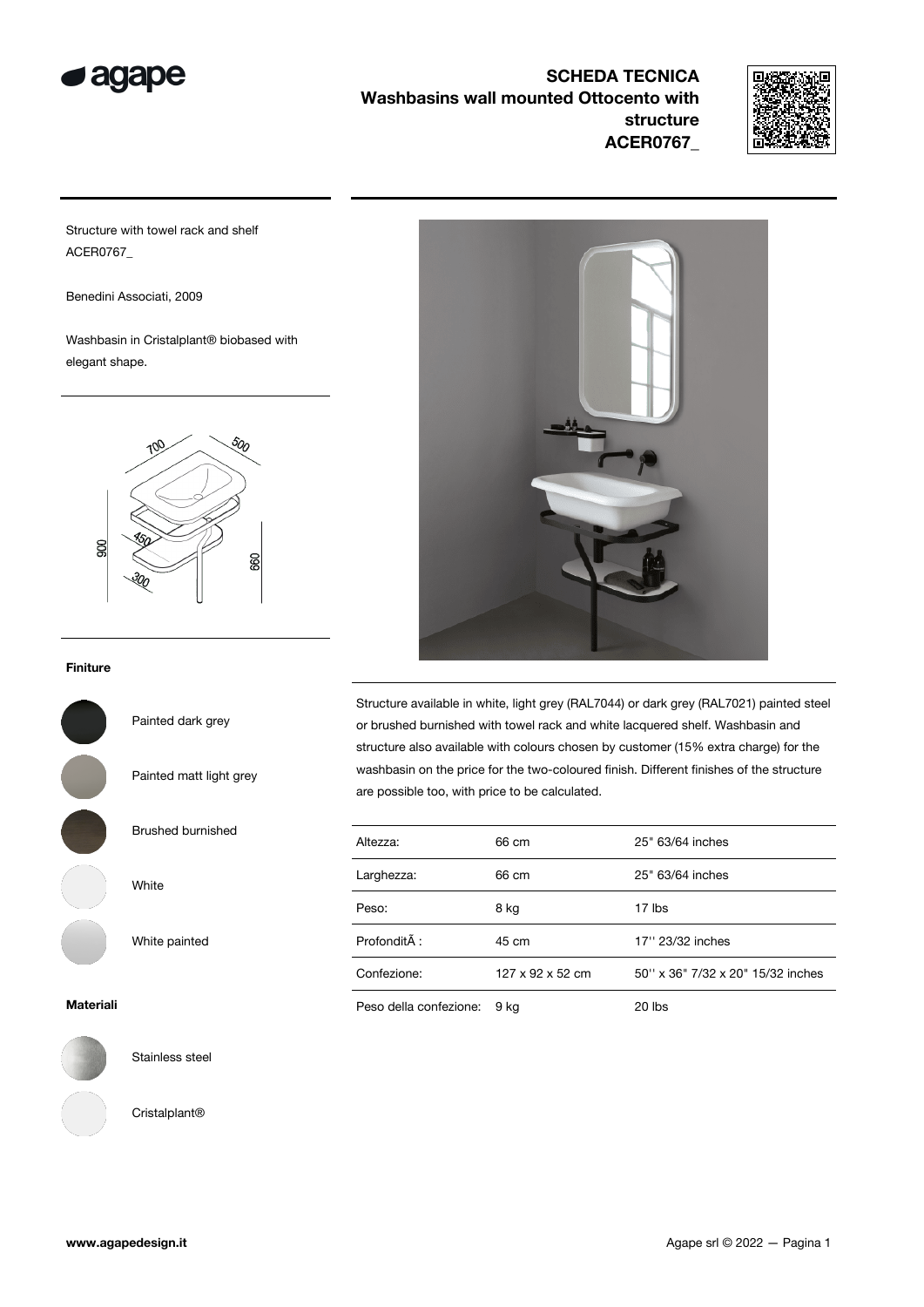



Structure with towel rack and shelf ACER0767\_

Benedini Associati, 2009

Washbasin in Cristalplant® biobased with elegant shape.



## Finiture

Painted dark grey

Painted matt light grey

Brushed burnished

White

White painted

Materiali



Stainless steel

Cristalplant®



Structure available in white, light grey (RAL7044) or dark grey (RAL7021) painted steel or brushed burnished with towel rack and white lacquered shelf. Washbasin and structure also available with colours chosen by customer (15% extra charge) for the washbasin on the price for the two-coloured finish. Different finishes of the structure are possible too, with price to be calculated.

| Altezza:               | 66 cm                        | 25" 63/64 inches                  |
|------------------------|------------------------------|-----------------------------------|
| Larghezza:             | 66 cm                        | 25" 63/64 inches                  |
| Peso:                  | 8 kg                         | 17 lbs                            |
| ProfonditÂ:            | 45 cm                        | 17" 23/32 inches                  |
| Confezione:            | $127 \times 92 \times 52$ cm | 50" x 36" 7/32 x 20" 15/32 inches |
| Peso della confezione: | 9 kg                         | 20 lbs                            |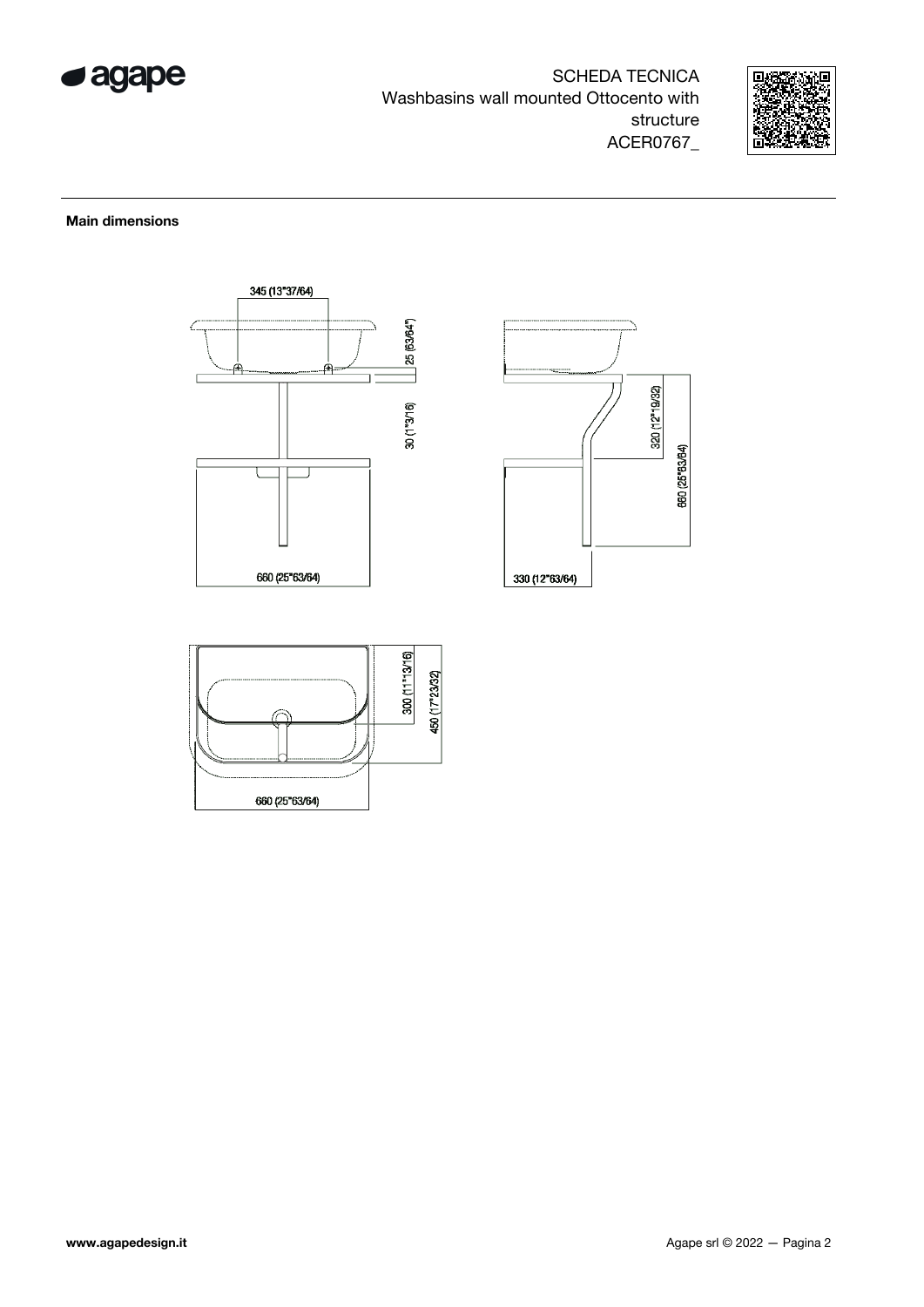



## Main dimensions





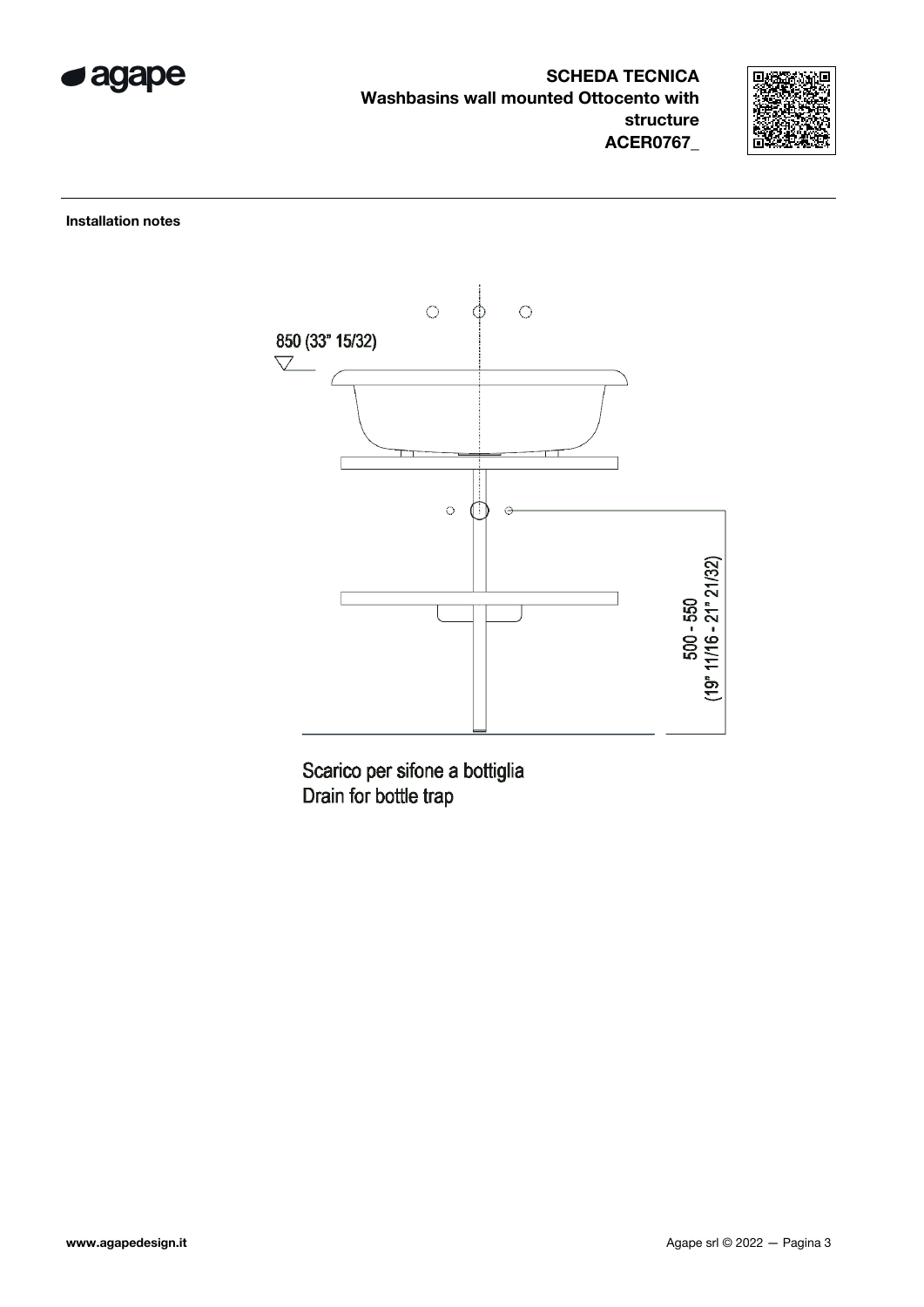



Installation notes



Scarico per sifone a bottiglia Drain for bottle trap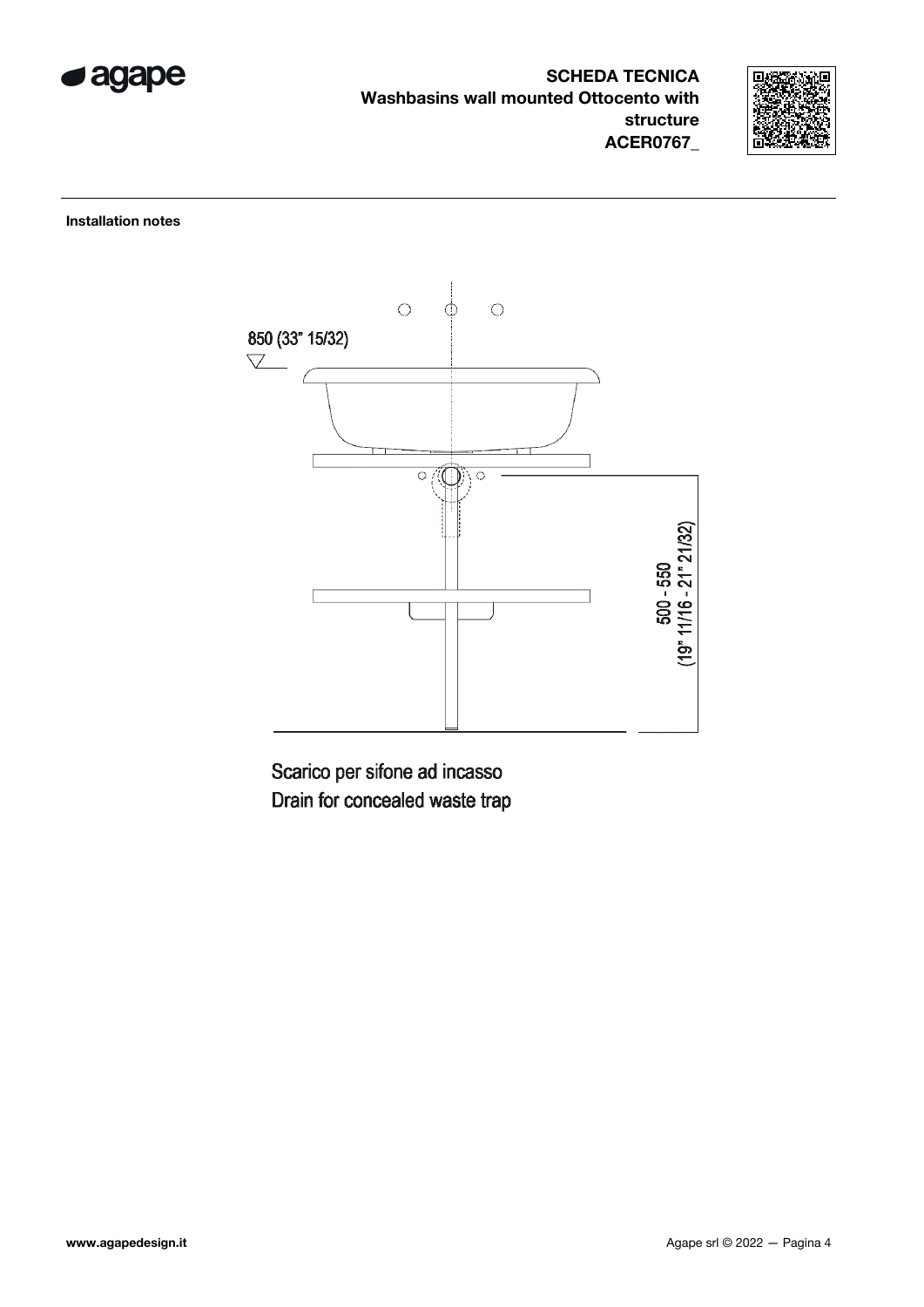



Installation notes



Scarico per sifone ad incasso Drain for concealed waste trap